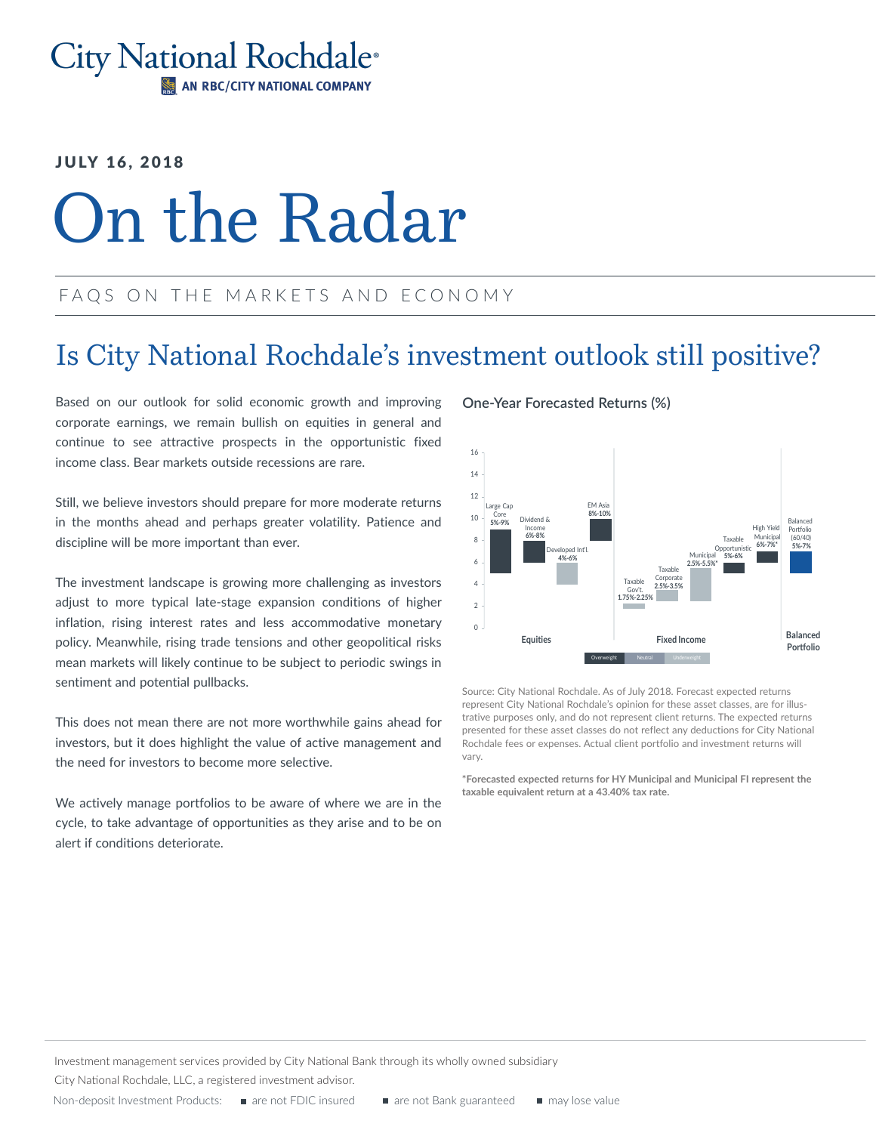#### **City National Rochdale**<sup>®</sup> AN RBC/CITY NATIONAL COMPANY

#### **JULY 16, 2018**

# On the Radar

#### FAQS ON THE MARKETS AND ECONOMY

## Is City National Rochdale's investment outlook still positive?

Based on our outlook for solid economic growth and improving corporate earnings, we remain bullish on equities in general and continue to see attractive prospects in the opportunistic fixed income class. Bear markets outside recessions are rare.

Still, we believe investors should prepare for more moderate returns in the months ahead and perhaps greater volatility. Patience and discipline will be more important than ever.

The investment landscape is growing more challenging as investors adjust to more typical late-stage expansion conditions of higher inflation, rising interest rates and less accommodative monetary policy. Meanwhile, rising trade tensions and other geopolitical risks mean markets will likely continue to be subject to periodic swings in sentiment and potential pullbacks.

This does not mean there are not more worthwhile gains ahead for investors, but it does highlight the value of active management and the need for investors to become more selective.

We actively manage portfolios to be aware of where we are in the cycle, to take advantage of opportunities as they arise and to be on alert if conditions deteriorate.

#### **One-Year Forecasted Returns (%)**



Source: City National Rochdale. As of July 2018. Forecast expected returns represent City National Rochdale's opinion for these asset classes, are for illustrative purposes only, and do not represent client returns. The expected returns presented for these asset classes do not reflect any deductions for City National Rochdale fees or expenses. Actual client portfolio and investment returns will vary.

**\*Forecasted expected returns for HY Municipal and Municipal FI represent the taxable equivalent return at a 43.40% tax rate.**

Investment management services provided by City National Bank through its wholly owned subsidiary

City National Rochdale, LLC, a registered investment advisor.

Non-deposit Investment Products: are not FDIC insured are not Bank guaranteed are may lose value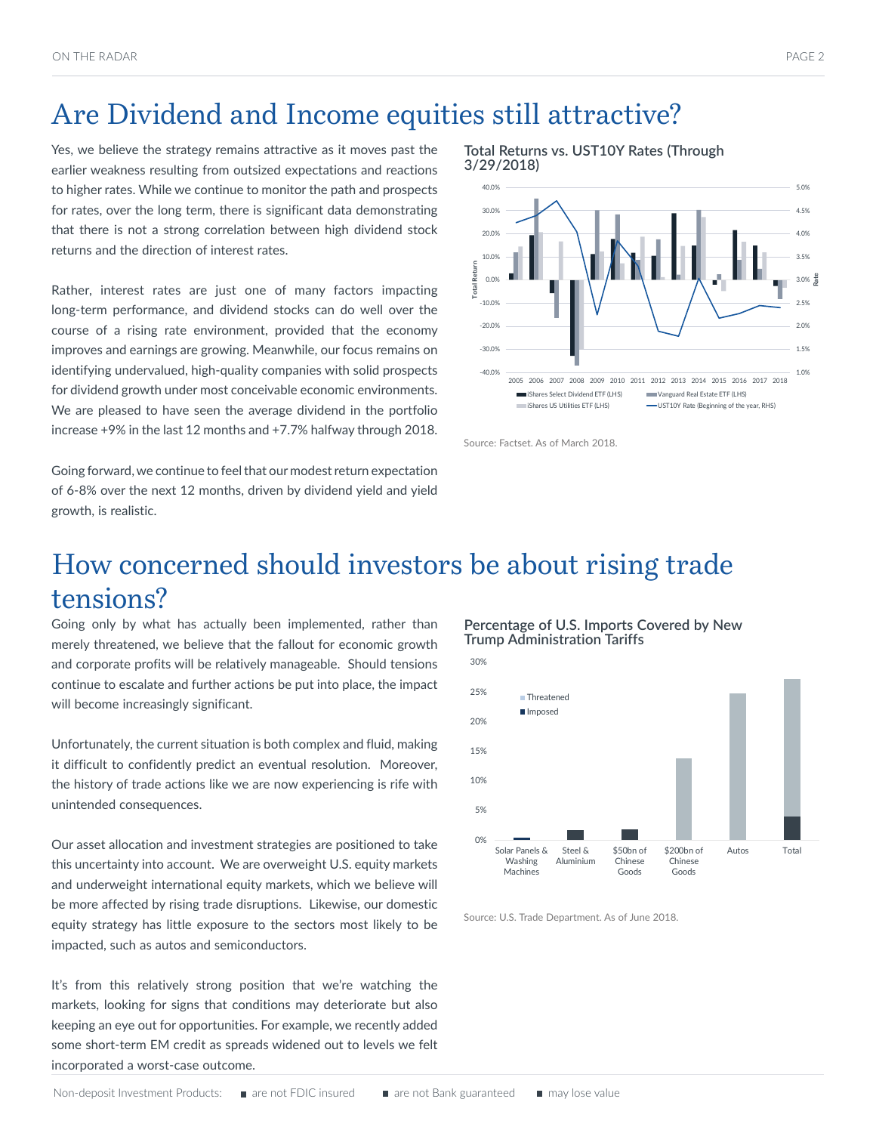## Are Dividend and Income equities still attractive?

Yes, we believe the strategy remains attractive as it moves past the earlier weakness resulting from outsized expectations and reactions to higher rates. While we continue to monitor the path and prospects for rates, over the long term, there is significant data demonstrating that there is not a strong correlation between high dividend stock returns and the direction of interest rates.

Rather, interest rates are just one of many factors impacting long-term performance, and dividend stocks can do well over the course of a rising rate environment, provided that the economy improves and earnings are growing. Meanwhile, our focus remains on identifying undervalued, high-quality companies with solid prospects for dividend growth under most conceivable economic environments. We are pleased to have seen the average dividend in the portfolio increase +9% in the last 12 months and +7.7% halfway through 2018.

Going forward, we continue to feel that our modest return expectation of 6-8% over the next 12 months, driven by dividend yield and yield growth, is realistic.

**Total Returns vs. UST10Y Rates (Through 3/29/2018)** 



Source: Factset. As of March 2018.

## How concerned should investors be about rising trade tensions?

Going only by what has actually been implemented, rather than merely threatened, we believe that the fallout for economic growth and corporate profits will be relatively manageable. Should tensions continue to escalate and further actions be put into place, the impact will become increasingly significant.

Unfortunately, the current situation is both complex and fluid, making it difficult to confidently predict an eventual resolution. Moreover, the history of trade actions like we are now experiencing is rife with unintended consequences.

Our asset allocation and investment strategies are positioned to take this uncertainty into account. We are overweight U.S. equity markets and underweight international equity markets, which we believe will be more affected by rising trade disruptions. Likewise, our domestic equity strategy has little exposure to the sectors most likely to be impacted, such as autos and semiconductors.

It's from this relatively strong position that we're watching the markets, looking for signs that conditions may deteriorate but also keeping an eye out for opportunities. For example, we recently added some short-term EM credit as spreads widened out to levels we felt incorporated a worst-case outcome.

**Percentage of U.S. Imports Covered by New Trump Administration Tariffs**



Source: U.S. Trade Department. As of June 2018.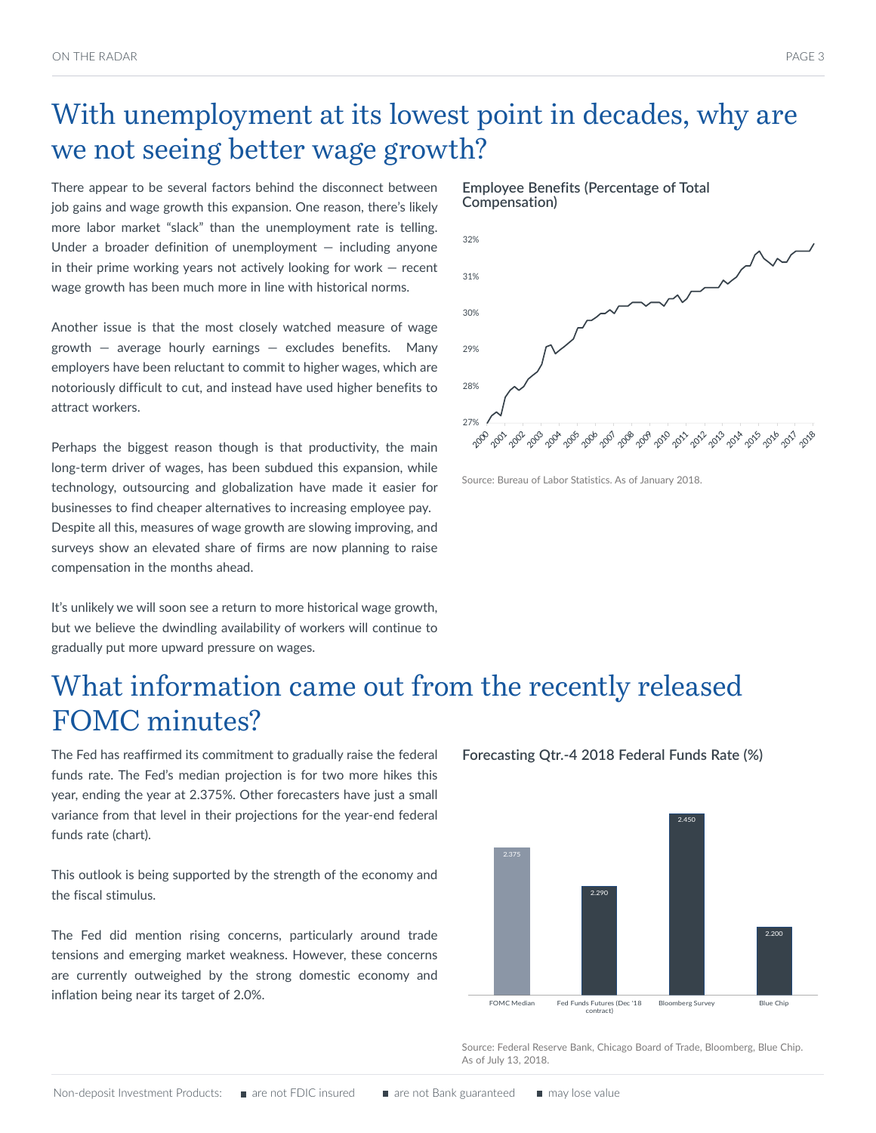# With unemployment at its lowest point in decades, why are we not seeing better wage growth?

There appear to be several factors behind the disconnect between job gains and wage growth this expansion. One reason, there's likely more labor market "slack" than the unemployment rate is telling. Under a broader definition of unemployment  $-$  including anyone in their prime working years not actively looking for work — recent wage growth has been much more in line with historical norms.

Another issue is that the most closely watched measure of wage growth  $-$  average hourly earnings  $-$  excludes benefits. Many employers have been reluctant to commit to higher wages, which are notoriously difficult to cut, and instead have used higher benefits to attract workers.

Perhaps the biggest reason though is that productivity, the main long-term driver of wages, has been subdued this expansion, while technology, outsourcing and globalization have made it easier for businesses to find cheaper alternatives to increasing employee pay. Despite all this, measures of wage growth are slowing improving, and surveys show an elevated share of firms are now planning to raise compensation in the months ahead.

It's unlikely we will soon see a return to more historical wage growth, but we believe the dwindling availability of workers will continue to gradually put more upward pressure on wages.





Source: Bureau of Labor Statistics. As of January 2018.

## What information came out from the recently released FOMC minutes?

The Fed has reaffirmed its commitment to gradually raise the federal funds rate. The Fed's median projection is for two more hikes this year, ending the year at 2.375%. Other forecasters have just a small variance from that level in their projections for the year-end federal funds rate (chart).

This outlook is being supported by the strength of the economy and the fiscal stimulus.

The Fed did mention rising concerns, particularly around trade tensions and emerging market weakness. However, these concerns are currently outweighed by the strong domestic economy and inflation being near its target of 2.0%.

**Forecasting Qtr.-4 2018 Federal Funds Rate (%)**



Source: Federal Reserve Bank, Chicago Board of Trade, Bloomberg, Blue Chip. As of July 13, 2018.